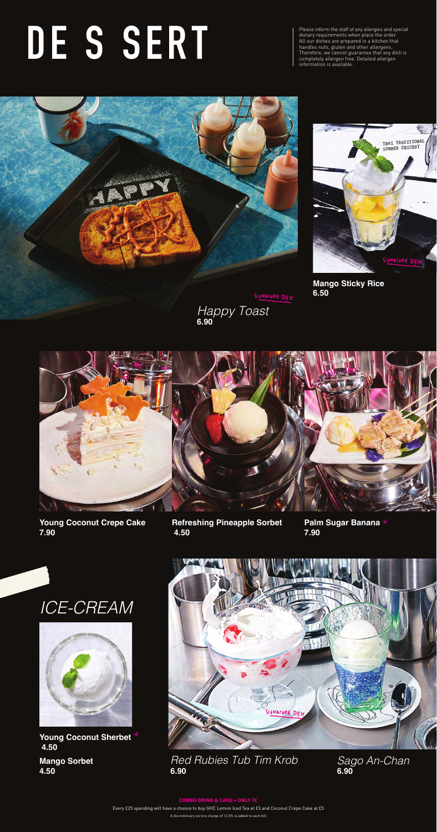Please inform the staff of any allergies and special dietary requirements when place the order. All our dishes are prepared in a kitchen that handles nuts, gluten and other allergens. Therefore, we cannot guarantee that any dish is information is available.



SIGNATURE DISH *Happy Toast*

# completely allergen free. Detailed allergen **DE S SERT**

**6.90**







**Mango Sticky Rice 6.50**



**Young Coconut Crepe Cake 7.90**

*Sago An-Chan* **6.90**

#### *Red Rubies Tub Tim Krob* **6.90**

**4.50**

**Refreshing Pineapple Sorbet 4.50**

**Palm Sugar Banana 7.90** 

Every £25 spending will have a chance to buy GHC Lemon Iced Tea at £3 and Coconut Crepe Cake at £5

**Mango Sorbet Young Coconut Sherbet 4.50**

A discretionary service charge of 12.5% is added to each bill

#### **COMBO DRINK & CAKE + ONLY 7£**